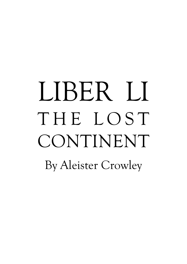# LIBER LI THE LOST CONTINENT By Aleister Crowley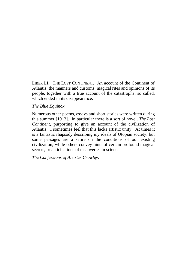LIBER LI. THE LOST CONTINENT. An account of the Continent of Atlantis: the manners and customs, magical rites and opinions of its people, together with a true account of the catastrophe, so called, which ended in its disappearance.

#### *The Blue Equinox*.

Numerous other poems, essays and short stories were written during this summer [1913]. In particular there is a sort of novel, *The Lost Continent*, purporting to give an account of the civilization of Atlantis. I sometimes feel that this lacks artistic unity. At times it is a fantastic rhapsody describing my ideals of Utopian society; but some passages are a satire on the conditions of our existing civilization, while others convey hints of certain profound magical secrets, or anticipations of discoveries in science.

*The Confessions of Aleister Crowley.*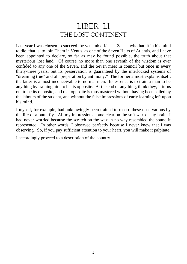# LIBER LI THE LOST CONTINENT

Last year I was chosen to succeed the venerable  $K_{\text{max}} = Z_{\text{max}}$  who had it in his mind to die, that is, to join Them in Venus, as one of the Seven Heirs of Atlantis, and I have been appointed to declare, so far as may be found possible, the truth about that mysterious lost land. Of course no more than one seventh of the wisdom is ever confided to any one of the Seven, and the Seven meet in council but once in every thirty-three years, but its preservation is guaranteed by the interlocked systems of "dreaming true" and of "preparation by antimony." The former almost explains itself; the latter is almost inconceivable to normal men. Its essence is to train a man to be anything by training him to be its opposite. At the end of anything, think they, it turns out to be its opposite, and that opposite is thus mastered without having been soiled by the labours of the student, and without the false impressions of early learning left upon his mind.

I myself, for example, had unknowingly been trained to record these observations by the life of a butterfly. All my impressions come clear on the soft wax of my brain; I had never worried because the scratch on the wax in no way resembled the sound it represented. In other words, I observed perfectly because I never knew that I was observing. So, if you pay sufficient attention to your heart, you will make it palpitate.

I accordingly proceed to a description of the country.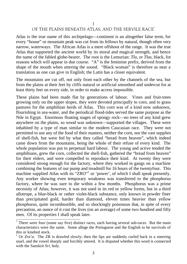#### OF THE PLAINS BENEATH ATLAS, AND THE SERVILE RACE\*

Atlas is the true name of this archipelago—continent is an altogether false term, for every "house" or mountain peak was cut from its fellows by natural, though often very narrow, waterways. The African Atlas is a mere offshoot of the range. It was the true Atlas that supported the ancient world by its moral and magical strength, and hence the name of the fabled globe-bearer. The root is the Lemurian: *Tla*, or *Tlas*, black, for reasons which will appear in due course. "A" is the feminine prefix, derived from the shape of the mouth when uttering the sound. "Black woman" is therefore as near a translation as one can give in English; the Latin has a closer equivalent.

The mountains are cut off, not only from each other by the channels of the sea, but from the plains at their feet by cliffs natural or artificial smoothed and undercut for at least thirty feet on every side, in order to make access impossible.

These plains had been made flat by generations of labour. Vines and fruit-trees growing only on the upper slopes, they were devoted principally to corn, and to grass pastures for the amphibian herds of Atlas. This corn was of a kind now unknown, flourishing in sea-water, and the periodical flood-tides served the same purpose as the Nile in Egypt. Enormous floating stages of spongy rock—no trees of any kind grew anywhere on the plains, so wood was unknown—supported the villages. These were inhabited by a type of man similar to the modern Caucasian race. They were not permitted to use any of the food of their masters, neither the corn, nor the vast supplies of shell-fish, but were fed by what they called "bread from heaven", which indeed came down from the mountains, being the whole of their refuse of every kind. The whole population was put to perpetual hard labour. The young and active tended the amphibians, grew the corn, collected the shell-fish, gathered the "bread from heaven" for their elders, and were compelled to reproduce their kind. At twenty they were considered strong enough for the factory, where they worked in gangs on a machine combining the features of our pump and treadmill for 16 hours of the twentyfour. This machine supplied Atlas with its "ZRO"<sup>†</sup> or 'power', of which I shall speak presently. Any worker showing even temporary weakness was transferred to the phosphorus factory, where he was sure to die within a few months. Phosphorus was a prime necessity of Atlas; however, it was not used in its red or yellow forms, but in a third allotrope, a blue-black or rather violet-black substance, only known in powder finer than precipitated gold, harder than diamond, eleven times heavier than yellow phosphorus, quite incombustible, and so shockingly poisonous that, in spite of every precaution, an ounce of it cost the lives (on an average) of some two hundred and fifty men. Of its properties I shall speak later.

 $\overline{a}$ 

There were four (some say five) distinct races, each having several sub-races. But the main characteristics were the same. Some allege the Portuguese and the English to be survivals of this or kindred stock.

<sup>†</sup> Or *Zra'a*. The ZR is drawled slowly; then the lips are suddenly curled back in a sneering snarl, and the vowel sharply and forcibly uttered. It is disputed whether this word is connected with the Sanskrit *Sri*, holy.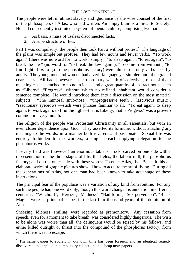The people were left in utmost slavery and ignorance by the wise counsel of the first of the philosophers of Atlas, who had written: An empty brain is a threat to Society. He had consequently instituted a system of mental culture, comprising two parts:

- 1. As basis, a mass of useless disconnected facts.
- 2. A superstructure of lies.

.

Part 1 was compulsory; the people then took Part 2 without protest.<sup>\*</sup> The language of the plains was simple but profuse. They had few nouns and fewer verbs. "To work again" (there was no word for "to work" simply), "to sleep again", "to eat again", "to break the law" (no word for "to break the law again"), "to come from without", "to find light" (*i.e.* to go to the phosphorus factory) were almost the only verbs used by adults. The young men and women had a verb-language yet simpler, and of degraded coarseness. All had, however, an extraordinary wealth of adjectives, most of them meaningless, as attached to no noun ideas, and a great quantity of abstract nouns such as "Liberty", "Progress", without which no refined inhabitant would consider a sentence complete. He would introduce them into a discussion on the most material subjects. "The immoral snub-nose", "unprogressive teeth", "lascivious music", "reactionary eyebrows"—such were phrases familiar to all. "To eat again, to sleep again, to work again, to find the light—that is Liberty, that is Progress" was a proverb common in every mouth.

The religion of the people was Protestant Christianity in all essentials, but with an even closer dependence upon God. They asserted its formulæ, without attaching any meaning to the words, in a manner both reverent and passionate. Sexual life was entirely forbidden to the workers, a single breach implying relegation to the phosphorus works.

In every field was (however) an enormous tablet of rock, carved on one side with a representation of the three stages of life: the fields, the labour mill, the phosphorus factory; and on the other side with these words: To enter Atlas, fly. Beneath this an elaborate series of graphic pictures showed how to acquire the art of flying. During all the generations of Atlas, not one man had been known to take advantage of these instructions.

The principal fear of the populace was a variation of any kind from routine. For any such the people had one word only, though this word changed is annoation in different centuries. "Witchraft", "Heresy", "Madness", "Bad form", "Sex-perversion", "Black Magic" were its principal shapes in the last four thousand years of the dominion of Atlas.

Sneezing, idleness, smiling, were regarded as premonitory. Any cessation from speech, even for a moment to take breath, was considered highly dangerous. The wish to be alone was worse than all; the delinquent would be seized by his fellows, and either killed outright or thrust into the compound of the phosphorus factory, from which there was no escape.

<sup>\*</sup> The same danger to society in our own time has been forseen, and an identical remedy discovered and applied in compulsory education and cheap newspapers.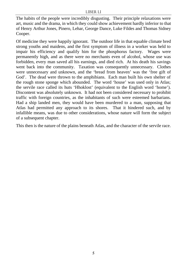#### LIBER LI

The habits of the people were incredibly disgusting. Their principle relaxations were art, music and the drama, in which they could show achievement hardly inferior to that of Henry Arthur Jones, Pinero, Lehar, George Dance, Luke Fildes and Thomas Sidney Cooper.

Of medicine they were happily ignorant. The outdoor life in that equable climate bred strong youths and maidens, and the first symptom of illness in a worker was held to impair his efficiency and qualify him for the phosphorus factory. Wages were permanently high, and as there were no merchants even of alcohol, whose use was forbidden, every man saved all his earnings, and died rich. At his death his savings went back into the community. Taxation was consequently unnecessary. Clothes were unnecessary and unknown, and the 'bread from heaven' was the 'free gift of God'. The dead were thrown to the amphibians. Each man built his own shelter of the rough stone sponge which abounded. The word 'house' was used only in Atlas; the servile race called its huts 'Hhoklost' (equivalent to the English word 'home'). Discontent was absolutely unknown. It had not been considered necessary to prohibit traffic with foreign countries, as the inhabitants of such were esteemed barbarians. Had a ship landed men, they would have been murdered to a man, supposing that Atlas had permitted any approach to its shores. That it hindered such, and by infallible means, was due to other considerations, whose nature will form the subject of a subsequent chapter.

This then is the nature of the plains beneath Atlas, and the character of the servile race.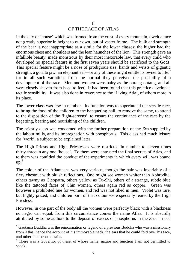# II OF THE RACE OF ATLAS

In the city or 'house' which was formed from the crest of every mountain, dwelt a race not greatly superior in height to our own, but of vaster frame. The bulk and strength of the bear is not inappropriate as a simile for the lower classes; the higher had the enormous chest and shoulders and the lean haunches of the lion. This strength gave an infallible beauty, made monstrous by their most inexorable law, that every child who developed no special feature in the first seven years should be sacrificed to the Gods. This special feature might be a nose of prodigious size, hands and wrists of gigantic strength, a gorilla jaw, an elephant ear—or any of these might entitle its owner to life: for in all such variations from the normal they perceived the possibility of a development of the race. Men and women were hairy as the ourang-outang, and all were closely shaven from head to feet. It had been found that this practice developed tactile sensibility. It was also done in reverence to the 'Living Atla', of whom more in its place.

The lower class was few in number. Its function was to superintend the servile race, to bring the food of the children to the banqueting-hall, to remove the same, to attend to the disposition of the 'light-screens', to ensure the continuance of the race by the begetting, bearing and nourishing of the children.

The priestly class was concerned with the further preparation of the *Zro* supplied by the labour mills, and its impregnation with phosphorus. This class had much leisure for 'work', a subject to be explained later.

The High Priests and High Priestesses were restricted in number to eleven times thirty-three in any one 'house'. To them were entrusted the final secrets of Atlas, and to them was confided the conduct of the experiments in which every will was bound  $up.$ <sup>†</sup>

The colour of the Atlanteans was very various, though the hair was invariably of a fiery chestnut with bluish reflections. One might see women whiter than Aphrodite, others tawny as Cleopatra, others yellow as Tu-Shi, others of a strange, subtle blue like the tattooed faces of Chin women, others again red as copper. Green was however a prohibited hue for women, and red was not liked in men. Violet was rare, but highly prized, and children born of that colour were specially reared by the High **Priestess** 

However, in one part of the body all the women were perfectly black with a blackness no negro can equal; from this circumstance comes the name Atlas. It is absurdly attributed by some authors to the deposit of excess of phosphorus in the *Zro*. I need

 $\overline{a}$ 

<sup>\*</sup> Gautama Buddha was the reincarnation or legend of a previous Buddha who was a missionary from Atlas, hence the account of his immovable neck, the ears that he could fold over his face, and other monstrous details.

<sup>†</sup> There was a Governor of these, of whose name, nature and function I am not permitted to speak.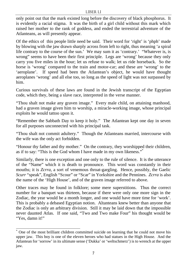only point out that the mark existed long before the discovery of black phosphorus. It is evidently a racial stigma. It was the birth of a girl child without this mark which raised her mother to the rank of goddess, and ended the terrestrial adventure of the Atlanteans, as will presently appear.

Of the ethics of this people little need be said. Their word for 'right' is 'phph' made by blowing with the jaw drawn sharply across from left to right, thus meaning 'a spiral life contrary to the course of the sun.' We may sum it as 'contrary.' "Whatever is, is wrong" seems to have been their first principle. Legs are 'wrong' because they only carry you five miles in the hour; let us refuse to walk; let us ride horseback. So the horse is 'wrong' compared to the train and motor-car; and these are 'wrong' to the 'aeroplane'. If speed had been the Atlantean's object, he would have thought aeroplanes 'wrong' and all else too, so long as the speed of light was not surpassed by him.

Curious survivals of these laws are found in the Jewish transcript of the Egyptian code, which they, being a slave race, interpreted in the verse manner.

"Thou shalt not make any graven image." Every male child, on attaining manhood, had a graven image given him to worship, a miracle-working image, whose principal exploits he would tattoo upon it.

"Remember the Sabbath Day to keep it holy." The Atlantean kept one day in seven for all purposes unconnected with his principal task.

"Thou shalt not commit adultery." Though the Atlanteans married, intercourse with the wife was the only act forbidden.

"Honour thy father and thy mother." On the contrary, they worshipped their children, as if to say: "This is the God whom I have made in my own likeness."\*

Similarly, there is one exception and one only to the rule of silence. It is the utterance of the "Name" which it is death to pronounce. This word was constantly in their mouths; it is *Zcrra*, a sort of venemous throat-gargling. Hence, possibly, the Gaelic *Scurr* "speak", English "Scour" or "Scar" in Yorkshire and the Pennines. *Zcrra* is also the name of the 'High House', and of the graven image referred to above.

Other traces may be found in folklore; some mere superstitions. Thus the correct number for a banquet was thirteen, because if there were only one more sign in the Zodiac, the year would be a month longer, and one would have more time for 'work'. This is probably a debased Egyptian notion. Altanteans knew better than anyone that the Zodiac is only an arbitrary division. Still it may be laid down that the impossible never daunted Atlas. If one said, "Two and Two make Four" his thought would be "Yes, damn it!"

 $\overline{a}$ 

<sup>\*</sup> One of the most brilliant children committed suicide on learning that he could not move his upper jaw. This boy is one of the eleven heroes who had statues in the High House. And the Atlantean for 'sorrow' in its ultimate sense ('Dukka' or 'weltschmerz') is to wrench at the upper jaw.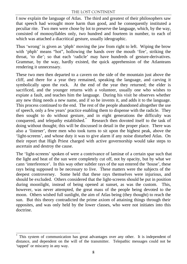I now explain the language of Atlas. The third and greatest of their philosophers saw that speech had wrought more harm than good, and he consequently instituted a peculiar rite. Two men were chose by lot to preserve the language, which, by the way, consisted of monosyllables only, two hundred and fourteen in number, to each of which was attached a diacritical gesture, usually ideographic.

Thus 'wrong' is given as 'phph' moving the jaw from right to left. Wiping the brow with 'phph' means "hot", hollowing the hands over the mouth 'fire', striking the throat, 'to die'; so that each 'radicle' may have hundreds of gesture-derivatives. Grammar, by the way, hardly existed, the quick apprehension of the Atlanteans rendering it unnecessary.

These two men then departed to a cavern on the side of the mountain just above the cliff, and there for a year they remained, speaking the language, and carving it symbolically upon the rock. At the end of the year they returned; the elder is sacrificed, and the younger returns with a volunteer, usually one who wishes to expiate a fault, and teaches him the language. During his visit he observes whether any new thing needs a new name, and if so he invents it, and adds it to the language. This process continued to the end. The rest of the people abandoned altogether the use of speech, only a few years' practice enabling them to dispense with the radicle. They then sought to do without gesture, and in eight generations the difficulty was conquered, and telepathy established.\* Research then dovoted itself to the task of doing without thought; this will be discussed in detail in the proper place. There was also a 'listener', three men who took turns to sit upon the highest peak, above the 'light-screens', and whose duty it was to give alarm if any noise disturbed Atlas. On their report that High Priest charged with active governorship would take steps to ascertain and destroy the cause.

The 'light-screens' spoken of were a contrivance of laminæ of a certain spar such that the light and heat of the sun were completely cut off, not by opacity, but by what we cann 'interference'. In this way other subtler rays of the sun entered the 'house', these rays being supposed to be necessary to live. These matters were the subjects of the deepest controversey. Some held that these rays themselves were injurious, and should be excluded. Others considered that the light-screens should be put in position during moonlight, instead of being opened at sunset, as was the custom. This, however, was never attempted, the great mass of the people being devoted to the moon. Others wished full sunlight, the aim of Atlas being (they thought) to reach the sun. But this theory contradicted the prime axiom of attaining things through their opposites, and was only held by the lower classes, who were not initiates into this doctrine.

<sup>\*</sup> This system of communication has great advantages over any other. It is independent of distance, and dependent on the will of the transmitter. Telepathic messages could not be 'tapped' or miscarry in any way.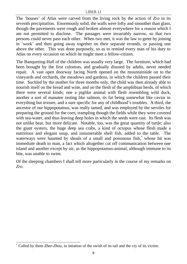The 'houses' of Atlas were carved from the living rock by the action of *Zro* in its seventh precipitation. Enormously solid, the walls were lofty and smoother than glass, though the pavements were rough and broken almost everywhere for a reason which I am not permitted to disclose. The passages were invariably narrow, so that two persons could never pass each other. When two met, it was the law to greet by joining in 'work' and then going away together on their separate errands, or passing one above the other. This was done purposely, so as to remind every man of his duty to Atlas on every occasion on which he might meet a fellow-citizen.

The Banqueting-Hall of the children was usually very large. The furniture, which had been brought by the first colonists, and gradually disused by adults, never needed repair. A vast open doorway facing North opened on the mountainside on to the vineyards and orchards, the meadows and gardens, in which the children passed their time. Suckled by the mother for three months only, the child was then already able to nourish itself on the bread and wine, and on the flesh of the amphibian herds, of which there were several kinds; one a piglike animal with flesh resembling wild duck, another a sort of manatee tasting like salmon, its fat being somewhat like caviar in everything but texture, and a sure specific for any of childhood's troubles. A third, the ancestor of our hippopotamus, was really tamed, and was employed by the serviles for preparing the ground for the corn, trampling though the fields while they were covered with sea-water, and thus leaving deep holes in which the seeds were cast. Its flesh was not unlike bear, but more delicate. Notable, too, was the great quantity of turtle; also the giant oysters, the huge deep sea crabs, a kind of octopus whose flesh made a nutritious and elegant soup, and innumerable shell fish, added to the table. The waterways were haunted by shoals of a small and poisonous fish,<sup>\*</sup> whose bit was immediate death to man, a fact which altogether cut off communication between one island and another except by air, as the hippopotamus-animal, although immune to its bite, was unable to swim.

Of the sleeping chambers I shall tell more particularly in the course of my remarks on *Zro*.

<sup>.</sup> \* Called by them *Zhee-Zhou*, in imiation of the swish of its tail and the cry of its victim.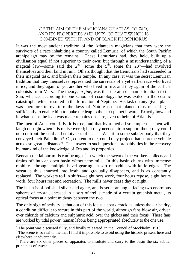#### OF THE AIM OF THE MAGICIANS OF ATLAS: OF *ZRO*, AND ITS PROPERTIES AND USES: OF THAT WHICH IS COMBINED WITH IT: AND OF BLACK PHOSPHORUS

It was the most ancient tradition of the Atlantean magicians that they were the survivors of a race inhabiting a country called Lemuria, of which the South Pacific archipelago may be the remains. These Lemurians had, they held, built up a civilisation equal if not superior to their own; but through a misunderstanding of a magical law—some said the  $2<sup>nd</sup>$ , some the  $5<sup>th</sup>$ , some the  $23<sup>rd</sup>$ —had involved themselves and their land in ruin. Others thought that the Lemurians had succeeded in their magical task, and broken their temple. In any case, it was the secret Lemurian tradition that they themselves represented the survivals of a yet earlier race who lived in ice, and they again of yet another who lived in fire, and they again of the earliest colonists from Mars. The theory, *in fine*, was that the aim of man is to attain to the Sun, whence, according to one school of cosmology, he was exiled in the cosmic catastrophe which resulted in the formation of Neptune. His task on any given planet was therefore to overturn the laws of Nature on that planet, thus mastering it sufficiently to enable him to make the leap to the next planet inward. Exactly how and in what sense the leap was made remains obscure, even to heirs of Atlantis.<sup>\*</sup>

The men of Atlas could fly, it is true, and that by a method so simple that men will laugh outright when it is rediscovered; but they needed air to support them; they could not confront the cold and emptyness of space. Was it in some subtler body that they conveyed their Palladium? Or, content to die, could they project that supreme vehicle across so great a distance? The answer to such questions probably lies in the recovery by mankind of the knowledge of *Zro* and its properties.

Beneath the labour mills run<sup>†</sup> troughs<sup>‡</sup> in which the sweat of the workers collects and drains off into an open basin without the mill. In this basin churns with immense rapidity—through multiple bevel gearing—a sort of paddle with knife edges. The sweat is thus churned into froth, and gradually disappears, and is as constantly replaced. The workers toil in shifts—eight hors work, four hours repose, eight hours work, four hours rest and recreation. The mills never cease day or night.

The basin is of polished silver and agate, and is set at an angle, facing two enormous spheres of crystal, encased in a sort of trellis made of a certain greenish metal, its optical focus at a point midway between the two.

The only sign of activity is that out of this focus a spark crackles unless the air be dry, a condition difficult to secure in this part of the world, although fans blow air, driven over chloride of calcium and sulphuric acid, over the globes and their focus. These fans are worked by tidal power, human labour being appropriated absolutely to the one use.

 $\overline{a}$ 

<sup>\*</sup> The point was discussed fully, and finally relegated, in the Council of Stockholm, 1913.

<sup>&</sup>lt;sup>†</sup> The scene is so real to me that I find it impossible to avoid using the historic present here and elsewhere, inadvertently.

<sup>&</sup>lt;sup>‡</sup> There are six other pieces of apparatus to insultate and carry to the basin the six subtler principles of sweat.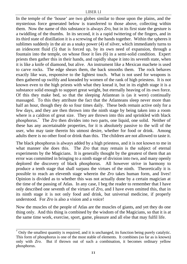In the temple of the 'house' are two globes similar to those upon the plains, and the mysterious force generated below is transferred to those above, collecting within them. Now the name of this substance is always *Zro*, but in its first state the gesture is a twiddling of the thumbs. In its second, it is a rapid twittering of the fingers, and in its third state of distillation it is a screwing of the hands together. Within the spheres it sublimes suddenly in the air as a snaky power (4) of silver, which immediately turns to an iridescent fluid (5) that is forced up, by its own need of expansion, through a fountain into the temple, on whose floor it lies (6) in a semi-solid condition. Expert priests then gather this in their hands, and rapidly shape it into its seventh state, when it is like a knife of diamond, but alive. An instrument like a Mexican machete is used to carve rocks. The edge shears them, the back smooths them. The rock behaves exactly like wax, responsive to the lightest touch. What is not used for weapons is then gathered up swiftly and kneaded by women of the rank of high priestess. It is not known even to the high priests with what they knead it, but in its eighth stage it is a substance solid enough to support great weight, but eternally heaving of its own force. Of this they make bed, so that the sleeping Atlantean is (as it were) continually massaged. To this they attribute the fact that the Atlanteans sleep never more than half an hour, though they do so four times daily. These beds remain active only for a few days, and they are then thrown into the ninth stage by being taken into a room where is a caldron of great size. They are thrown into this and sprinkled with black phosphorus.\* The *Zro* then divides into two parts, one liquid, one solid. Neither of these has any ascertainable properties, for it is absolutely passive to the will of the user, who may taste therein his utmost desire, whether for food or drink. Among adults there is no other food or drink than this. The children are not allowed to taste it.

The black phosphorus is always added by a high priestess, and it is not known to me in what manner she does this. The *Zro* that may remain is the subject of eternal experiments by the Magicians. It is generally thought by the greatest of them that an error was committed in bringing to a ninth stage of division into two, and many openly deplored the discovery of black phosphorus. All however strive in harmony to produce a tenth stage that shall surpass the virtues of the ninth. Theoretically it is possible to reach an eleventh stage wherein the *Zro* takes human form, and lives! Opinion is divided as to whether this was not actually done by a certain magician at the time of the passing of Atlas. In any case, I beg the reader to remember that I have only described one seventh of the virtues of *Zro*, and I have even omitted this, that in its ninth stage it is not only food and drink, but universal medicine, if properly understood. For *Zro* is also a vision and a voice!

Now the muscles of the people of Atlas are the muscles of giants, and yet they do one thing only. And this thing is combined by the wisdom of the Magicians, so that it is at the same time work, exercise, sport, game, pleasure and all else that may fulfil life.

<sup>.</sup> \* Only the smallest quantity is required, and it is unchanged, its function being purely catalytic. This form of phosphorus is one of the most stable of elements. It combines (so far as is known) only with *Zro*. But if thrown out of such a combination, it becomes ordinary yellow phosphorus.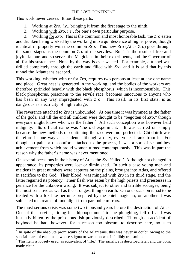This work never ceases. It has these parts.

- 1. Working at *Zro*, *i.e.*, bringing it from the first stage to the ninth.
- 2. Working with *Zro*, *i.e.*, for one's own particular purpose.

3. Working for *Zro*. This is the common and most honorable task, the *Zro* eaten and drunken being worked by the working into a quintessence of higher power, though identical in property with the common *Zro*. This new *Zro* (Atlas *Zro*) goes through the same stages as the common *Zro* of the serviles. But it is the result of free and joyful labour, and so serves the Magicians in their experiments, and the Governor of all for his sustenance. None by the way is ever wasted. For example, a tunnel was drilled completely through the earth and filled with *Zro*, and it is said that by this tunnel the Atlanteans escaped.

This working, whether with or for *Zro*, requires two persons at least at any one name and place. Great heat is generated in the working, and the bodies of the workers are therefore sprinkled heavily with the black phosphorus, which is incombustible. This black phosphorus, poisonous to the servile race, becomes innocuous to anyone who has been in any way impregnated with *Zro*. This itself, in its first state, is as dangerous as electricity of high voltage.

The reverence attached to *Zro* is unbounded. At one time it was hymned as the father of the gods, and till the end all children were thought to be "begotten of *Zro*," though everyone might know who was the father.\* All such conception was however held indignity. Its official name was 'the old experiment.' It was carried on simply because the new methods of continuing the race were not perfected. Childbirth was therefore in one way an accident; although a duty, everyone shrank from it. For though no pain or discomfort attached to the process, it was a sort of second-best achievement from which proud women turned contemptuously. This was in part the reason why the father's name was never mentioned.

On several occasions in the history of Atlas the *Zro* 'failed.' Although not changed in appearance, its properties were lost or diminished. In such a case young men and maidens in great numbers were captures on the plains, brought into Atlas, and offered in sacrifice to the God. Their blood† was mingled with *Zro* in its third stage, and the latter regained its potency. Their flesh was eaten by the high priests and priestesses in penance for the unknown wrong. It was subject to other and terrible scourges, being the most sensitive as well as the strongest thing on earth. On one occasion it had to be treated with a fox-like perfume prepared by the chief magician; on another it was subjected to streams of moonlight from parabolic mirrors.

The most serious crisis was some two thousand years before the destruction of Atlas. One of the serviles, riding his 'hippopotamus' to the ploughing, fell off and was instantly bitten by the poisonous fish previously described. Through an accident of boyhood he had, however, for a reason too obscure to describe here, no such

<sup>\*</sup> In spite of the absolute promiscuity of the Atlanteans, this was never in doubt, owing to the special mark of each man, whose stigma or variation was infallibly transmitted.

<sup>†</sup> This item is loosely used, as equivalent of 'life.' The sacrifice is described later, and the point made clear.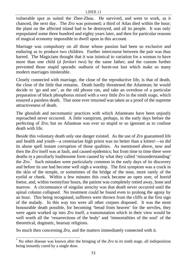vulnerable spot as suited the Zhee-Zhou. He survived, and went to work, as it chanced, the next day. The *Zro* was poisoned; a third of Atlas died within the hour; the plant on the affected island had to be destroyed, and all its people. It was only repopulated some three hundred and eighty years later, and then for particular reasons of magical economy impossible to dwell upon in this account.

Marriage was compulsory on all those whose passion had been so exclusive and enduring as to produce two children. Further intercourse between the pair was thus barred. The Magicians thought that it was inimical to variation for a woman to have more than one child (*á fortiori* two) by the same father; and the custom further prevented those stupid sporadic outburst of burnt-out lust which make so many modern marriages intolerable.

Closely connected with marriage, the close of the reproductive life, is that of death, the close of the little that remains. Death hardly threatened the Atlantean; he would decide to 'go and see', as the old phrase ran, and take an overdose of a particular preparation of black phosphorus mixed with a very little *Zro* in the ninth stage, which ensured a painless death. That none ever returned was taken as a proof of the supreme attractiveness of death.

The ghoulish and necromantic practices with which Atlanteans have been unjustly reproached never occurred. A little vampirsm, perhaps, in the early days before the perfecting of *Zro*; but no Atlantean was ever so stupid or so ignorant as to confuse death with life.

Beside this voluntary death only one danger existed. As the use of *Zro* guaranteed life and health and youth—a centenarian high priest was no better than a kitten!—so did its abuse spell instant corruption of those qualities. As mentioned above, now and then the *Zro* itself was at fault, and caused epidemics; but from time to time there were deaths in a peculiarly loathesome form caused by what they called 'misunderstanding' the *Zro*. \* Such mistakes were particularly common in the early days of its discovery and before its use had become well nigh a worship. The first symptom was a crack in the skin of the temple, or sometimes of the bridge of the nose, more rarely of the eyelid or cheek. Within a few minutes this crack became an open sore, of horrid foetor, and, within twentyfour hours, the patient was completely rotted away, bone and marrow. A circumstance of singular atrocity was that death never occurred until the spinal column collapsed. No treatment could be found even to prolong the agony by an hour. This being recognised, sufferers were thrown from the cliffs at the first sign of the malady. In this way too were all other corpses disposed. It was the most honourable death possible, for becoming 'bread from heaven' for the serviles, they were again worked up into *Zro* itself, a transmutation which in their view would be well worth all the 'resurrections of the body' and 'immortalities of the soul' of the theoretical, dogmatic, hearsay religions.

So much then concerning *Zro*, and the matters immediately connected with it.

<sup>\*</sup> No other disease was known after the bringing of the *Zro* to its ninth stage, all indisposition being instantly cured by a single dose.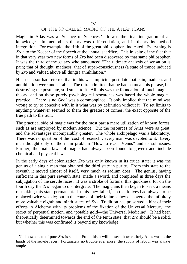#### OF THE SO CALLED MAGIC OF THE ATLANTEANS

Magic in Atlas was a 'Science of Sciences.' It was the final integration of all knowledge. In method its theory was differentiation, and in theory its method integration. For example, the fifth of the great philosophers indicated "Everything is *Zro*" to the Keeper of the Speech at the annual sacrifice. This in spite of the fact that in that very year two new forms of *Zro* had been discovered by that same philosopher. It was the third of the galaxy who announced "The ultimate analysis of sensation is pain; that of thought, madness; that of super-consciousness (a state of trance induced by *Zro* and valued above all things) annihilation."

His successor had retorted that in this was implicit a postulate that pain, madness and annihilation were undesirable. The third admitted that he had so mean his phrase, but destroying the postulate, still stuck to it. All this was the foundation of much magical theory, and on these purely psychological researches was based the whole magical practice. 'There is no God' was a commonplace. It only implied that the mind was wrong to try to conceive with in it what was by definition without it. To set limits to anything whatever seemed to them the greatest of crimes, the exact opposite of the true path to the Sun.

The practical side of magic was for the most part a mere utilization of known forces, such as are employed by modern science. But the resources of Atlas were as great, and the advantages incomparably greater. The whole archipelago was a laboratory. There was no question of the 'cost of research'; every man was devoted to it. Every man thought only of the main problem "How to reach Venus" and its sub-issues. Further, the main laws of magic had always been found to govern and include chemical and physical laws.

In the early days of colonization *Zro* was only known in its crude state; it was the genius of a single man that obtained the third state in purity. From this state to the seventh it moved almost of itself, very much as radium does. The genius, having sufficient in this pure seventh state, made a sword, and completed in three days the subjugation of the servile races. It was a stroke of fortune, this quickness, for on the fourth day the *Zro* began to disintergrate. The magicians then began to seek a means of making this state permanent. In this they failed,<sup>\*</sup> so that knives had always to be replaced twice weekly; but in the course of their failures they discovered the infinitely more valuable eighth and ninth states of *Zro*. Tradition has preserved a hint of their efforts in Alchemy with its problems of the fixation of the Universal Mercury, the secret of perpetual motion, and 'potable gold—the Universal Medicine'. It had been theoretically determined towards the end of the tenth state, that *Zro* should be a solid, but whether this was confirmed is beyond my knowledge.

<sup>\*</sup> No known state of pure *Zro* is stable. From this it will be seen how entirely Atlas was in the hands of the servile races. Fortunately no trouble ever arose; the supply of labour was always ample.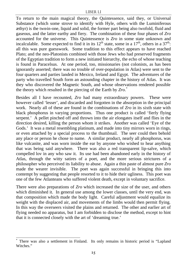To return to the main magical theory, the Quintessence, said they, or Universal Substance (which some strove to identify with Hyle, others with the Luminiferous æthyr) is the two-in-one, liquid and solid, the former part being also twofold, fluid and gaseous, and the latter earthy and fiery. The combination of these four phases of *Zro* accounted for the universe. This Quintessence is *Zro* in some state unknown and incalculable. Some expected to find it in its  $12^{th}$  state, some in a  $17^{th}$ , others in a  $37^{th}$ . all this was pure guesswork. Some tradition to this effect appears to have reached Plato; and the neo-Platonists combined with those Jews who had preserved fragments of the Egyptian tradition to form a new initiated hierarchy, the echo of whose teaching is found in Paracelsus. At one period, too, missionaries (not colonists, as has been ignorantly asserted; there was no trouble of over-population in Atlas) were sent to the four quarters and parties landed in Mexico, Ireland and Egypt. The adventures of the party who travelled South form an astounding chapter in the history of Atlas. It was they who discovered the Magnetic South, and whose observations rendered possible the theory which resulted in the piercing of the Earth by *Zro*. \*

Besides all I have recounted, *Zro* had many extraordinary powers. These were however called 'lesser', and discarded and forgotten in the absorption in the principal work. Nearly all of these are found in the combinations of *Zro* in its sixth state with black phosphorus in varying proportions. Thus one product is called 'fierly flying serpent.' A pellet pinched off and thrown into the air elongates itself and flies in the direction desired, killing the person whom it strikes. Another was called 'Eye of the Gods.' It was a metal resembling platinum, and made into tiny mirrors worn in rings, or even attached by a special process to the thumbnail. The seer could then behold any place or person he chose to name. A similar product, nearly all phosphorus, was like vulcanite, and was worn inside the ear by anyone who wished to hear anything that was being said anywhere. There was also a red transparent lip-salve, which compelled lov in any who saw it. Its use had been abandoned early in the history of Atlas, through the witty satires of a poet, and the more serious strictures of a philosopher who perceived its liability to abuse. Again a thin paste of almost pure *Zro* made the wearer invisible. The poet was again successful in bringing this into contempt by suggesting that people resorted to it to hide their ugliness. This poet was one of the few Atlanteans who suffered violent death, except in voluntary sacrifice.

There were also preparations of *Zro* which increased the size of the user, and others which diminished it. In general use among the lower classes, until the very end, was that composition which made the body light. Careful adjustment would equalize its weight with the displaced air, and movements of the limbs would then permit flying. In this way the overseers visited the plains and returned. The other and earlier art of flying needed no apparatus, but I am forbidden to disclose the method, except to hint that it is connected closely with the art of 'dreaming true.'

<sup>\*</sup> There was also a settlement in Finland. Its only remains in historic period is "Lapland Witches."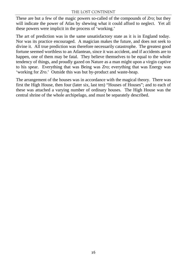These are but a few of the magic powers so-called of the compounds of *Zro*; but they will indicate the power of Atlas by shewing what it could afford to neglect. Yet all these powers were implicit in the process of 'working.'

The art of prediction was in the same unsatisfactory state as it is in England today. Nor was its practice encouraged. A magician makes the future, and does not seek to divine it. All true prediction was therefore necessarily catastrophe. The greatest good fortune seemed worthless to an Atlantean, since it was accident, and if accidents are to happen, one of them may be fatal. They believe themselves to be equal to the whole tendency of things, and proudly gazed on Nature as a man might upon a virgin captive to his spear. Everything that was Being was *Zro*; everything that was Energy was 'working for *Zro*.' Outside this was but by-product and waste-heap.

The arrangement of the houses was in accordance with the magical theory. There was first the High House, then four (later six, last ten) "Houses of Houses"; and to each of these was attached a varying number of ordinary houses. The High House was the central shrine of the whole archipelago, and must be separately described.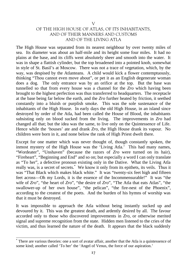#### OF THE HIGH HOUSE OF ATLAS, OF ITS INHABITANTS, AND OF THEIR MANNERS AND CUSTOMS AND OF THE LIVING ATLA

The High House was separated from its nearest neighbour by over twenty miles of sea. Its diameter was about an half-mile and its height some four miles. It had no plains at the base, and its cliffs went absolutely sheer and smooth into the water. It was in shape a flattish cylinder, but the top broadened into a pointed knob, somewhat in style of St. Basil's at Moscow. There was not a trace of vegetation, which, by the way, was despised by the Atlanteans. A child would kick a flower contemptuously, thinking "Thou cannot even move about", or pet it as an English degenerate woman does a dog. The only entrance was by an orifice at the top. But the base was tunnelled so that from every house was a channel for the *Zro* which having been brought to the highest perfection was thus transferred to headquarters. The receptacle at the base being far below the earth, and the *Zro* further heated by friction, it seethed constantly into a bluish or purplish smoke. This was the sole sustenance of the inhabitants of the High House. In early days the old High House, in an island since destroyed by order of the Atla, had been called the House of Blood, the inhabitants subsisting only on blood sucked from the living. The improvements in *Zro* had changed all that; but the idea was the same, to live only on the Quintessence of Life. Hence while the 'houses' ate and drank *Zro*, the High House drank its vapour. No children were born in it, and none below the rank of High Priest dwelt there.

Except for one matter which was never thought of, though constantly spoken, the inmost mystery of the High House was the 'Living Atla.' This had many names, "Wordeater", "Unshaven" (because the razors of *Zro* were turned on its hair), "Fireheart", "Beginning and End" and so on; but especially a word I can only translate as "To her", a defective pronoun existing only in the Dative. What the Living Atla really was, is a secret of secrets.<sup>\*</sup> We know it only from its epithets, its veils. Thus it was "That Black which makes black white." It was "twenty-six feet high and fifteen feet across—Oh my Lords, it is the essence of the Incommensurable!" It was "the wife of *Zro*", "the heart of *Zro*", "the desire of *Zro*", "The Atla that eats Atlas", "the swallower-up of her own house", "the pelican", "the fire-nest of the Phoenix", according to the createst of the poets. And the burden of his hymns of worship was that it must be destroyed.

It was impossible to approach the Atla without being instantly sucked up and devoured by it. This was the greatest death, and ardently desired by all. The favour accorded only to those who discovered improvements in *Zro*, or otherwise merited signal and supreme recognition from the state. Hidden men listened to the cries of the victim, and thus learned the nature of the death. It appears that the black suddenly

<sup>\*</sup> There are various theories: one a sort of avatar affair, another that the Atla is a quintessence of some kind; another called 'To her' the 'Angel of Venus, the force of our aspiration.'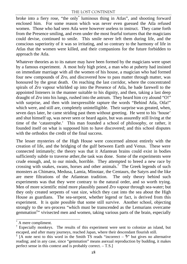broke into a fiery rose, "the only<sup>\*</sup> luminous thing in Atlas", and shooting forward enclosed him. For some reason which was never even guessed the Atla refused women. Those who had seen Atla were however useless to instruct. They came forth from the Presence smiling, and even under the most fearful tortures that the magicians could devise, continued to smile. This smile never left them during life, and the conscious superiority of it was so irritating, and so contrary to the harmony of life in Atlas that the women were killed, and their companions for the future forbidden to approach the Atla.

Whatever theories as to its nature may have been formed by the magicians were upset by a famous experiment. A most holy high priest, a man who at puberty had insisted on immediate marriage with all the women of his house, a magician who had formed four new compounds of *Zro*, and discovered how to pass matter through matter, was honoured by the great death. On reaching the last corridor, where the concentrated spirals of *Zro* vapour whirlded up into the Presence of Atla, he bade farewell to the appointed listeners in the manner suitable to his dignity, and then, taking a last deep draught of *Zro* into his lungs, rushed into the antrum. They heard him cry alound "O!" with surprise, and then with inexpressible rapture the words "Behind Atla, Otla!" which were, and still are, completely unintelligible. Their surprise was greated, when, seven days later, he came striding past them without greeting. He went to his 'house' and shut himself up, was never seen or heard again, but was assuredly still living at the time of the 'catastrophe.' This man founded a school of philosophy, or rather, it founded itself on what is supposed him to have discovered; and this school disputes with the orthodox the credit of the final success.

The lesser mysteries of the High House were concerned almost entirely with the creation of life, and the bridging of the gulf between Earth and Venus. These were connected intimately; the theory was that it Atlantean brains could exist in bodies sufficiently subtle to traverse æther, the task was done. Some of the experiments were crude enough, and, to our minds, horrible. They attempted to breed a new race by crossing with snakes, swans, horses and other animals.† The Greek legends of such monsters as Chimæra, Medusa, Lamia, Minotaur, the Centaurs, the Satyrs and the like are mere filtrations of the Atlantean tradition. The only theory behind such experiments was that they were contrary to the natural order, and so worth trying. Men of more scientific mind more plausibly passed *Zro* vapour through sea-water; but they only created serpents of vast size, which they cast into the sea about the High House as guardians. The sea-serpent, whether legend or fact, is derived from this experiment. It is quite possible that some still survive. Another school, objecting strongly to the sex-process "which must be transcended as the Lemurians overcame gemmation<sup>‡</sup>" vivisected men and women, taking various parts of the brain, especially

<sup>\*</sup> A mere compliment.

<sup>†</sup> Especially monkeys. The results of this experiment were sent to colonize an island, but escaped, and after many journeys, reached Japan, where their descendant flourish still.

<sup>‡</sup> [A note next to this word in the Smith TS reads "incorrect  $-5$ " but gives no alternative reading; and in any case, since "gemmation" means asexual reproduction by budding, it makes perfect sense in this context and is probably correct. – T.S.]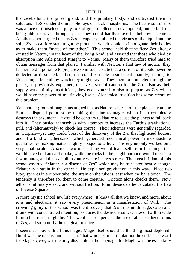#### LIBER LI

the cerebellum, the pineal gland, and the pituitary body, and cultivated them in solutions of *Zro* under the invisible rays of black phosphorus. The best result of this was a race of transclucent jelly-folk of great intellectual development; but so far from being able to travel through space, they could hardly move in their own element. Another school argued that as *Zro* in vapour combined the virtues of the liquid and the solid *Zro*, so a fiery state might be produced which would so impregnate their bodies as to make them "mates of the æther." This school held that the fiery *Zro* already existed in Nature, 'in the heart of the living Atla', and asserted that those who died by absorption into Atla passed straight to Venus. Many of them therefore tried hard to obtain messages from that planet. Familiar with Newton's first law of motion, they further held it possible to prepare *Zro* in such a state that a current of it could never be deflected or dissipated, and so, if it could be made in sufficient quantity, a bridge to Venus might be built by which they might travel. They therefore tunneled through the planet, as previously explained, to have a sort of cannon for the *Zro*. But as their supply was pitifully insufficient, they endeavoured to also to prepare as *Zro* which would have the power of multiplying itself. Alchemical tradition has some record of this problem.

Yet another group of magicians argued that as Nature had cast off the planets from the Sun—a disputed point, some thinking this due to magic, which if so completely destroys the argument—it would be contrary to Nature to cause the planets to fall back into it. They busied themselves with attempts to increase the Earth's gravitational pull, and (alternatively) to check her course. Their schemes were generally regarded as Utopian—yet they could boast of the discovery of the *Zro* that lightened bodies, and of a kind of æther-screen which generated mechanical power in inexhaustible quantities by making matter slightly opaque to æthyr. This engine only worked on a very small scale. A screen two inches long would tear itself from fastenings that would have held an earthquake, while the rocks in the neighbourhood would melt in a few minutes, and the sea boil instantly where its rays struck. The most brilliant of this school asserted "Matter is a disease of *Zro*" which may be translated nearly enough "Matter is a strain in the æther." He explained gravitation in this way. Place two ivory spheres in a rubber tube; the strain on the tube is least when the balls touch. The tendency is therefore for them to come together. Friction alone checks them. Now æther is infinitely elastic and without friction. From these data he calculated the Law of Inverse Squares.

A more mystic school saw life everywhere. It knew all that we know, and more, about ions and electrons; it saw every phenomenon as a manifestation of Will. The crowning glory of this school was the discovery that *Zro* in its ninth stage, eaten and drunk with concentrated intention, produces the desired result, whatever (within wide limits) that result might be. This went far to supercede the use of all specialized forms of *Zro*, and so to unify the magical practice.

It seems curious with all this magic, Magic itself should be the thing most deplored. But it was the means, and, as such, 'that which is in particular not the end.' The word for Magic, *Ijynx*, was the only disyllable in the language, for Magic was the essentially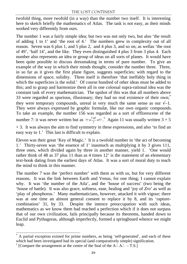twofold thing, more twofold (in a way) than the number two itself. It is interesting here to sketch briefly the mathematics of Atlas. The task is not easy, as their minds worked very differently from ours.

The number 1 was a fairly simple idea; but two was not only two, but also 'the result of adding 1 to 1' and 'the root of 4.' The numbers grew in complexity out of all reason. Seven was 6 plus 1, and 5 plus 2, and 4 plus 3, and so on; as wellas 'the root of 49', 'half 14', and the like. They even distinguished 4 plus 3 from 3 plus 4. Each number also represents an idea or group of ideas on all sorts of planes. It would have been quite possible to discuss dressmaking in terms of pure number. To give an example of the way in which their minds thought, consider the number three. Three, in so far as it gives the first plane figure, suggests superficies; with regard to the dimensions of space, solidity. Three itself is therefore 'that ineffably holy thing in which the superficies is the solid.' Of course hundred of other ideas must be added to this; and to grasp and harmonize them all in one colossal supra-rational idea was the constant task of every mathematician. The upshot of this was that all numbers above 33 were regarded as spurious, illusionary; they had no real existence of their own;\* they were temporary compounds, unreal in very much the same sense as our  $\sqrt{-1}$ . They were always expressed by graphic formulæ, like our own organic compounds. To take an example, the number 156 was regarded as a sort of efflorescene of the number 7: it was never written but as  $77 + \frac{7+7}{7} + 77$  $77 + \frac{7+7}{5} + 77$ .<sup>†</sup> Again 11 was usually written 3 + 5

+ 3. It was always the aim to find symmetry in these expressions, and also 'to find an easy way to 1.' This last is difficult to explain.

Eleven was their great 'Key of Magic.' It is a twofold number in 'the act of becoming 1.' Thirty-seven was 'the essence of 1' inasmuch as multiplying it by 3 gives 111, three ones, which divided again by three in another manner, yield 1. 'One would rather think of 48 as 37 plus 11 than as 4 times 12' is the statement of an elementary text-book dating from the earliest days of Atlas. It was a sort of moral duty to teach the mind to think in this manner.

The number 7 was the 'perfect number' with them as with us, but for very different reasons. It was the link between Earth and Venus, for one thing; I cannot explain why. It was 'the number of the Atla', and the 'house of success' (two being the 'house of battle). It was also grace, softness, ease, healing and 'joy of *Zro*' as well as 'play of phosphorus.' Many mathematicians, however, attacked it with vigour; there was at one time an almost general consent to replace it by 8, and its 'rapturecombination' 31, by 33. Despite the intence preoccupation with such ideas, mathematics as we know them had reached a perfection which if it does not surpass that of our own civilization, fails principally because its theorems, handed down to Euclid and Pythagoras, although imperfectly, formed a springboard whence we might leap.

<sup>\*</sup> A partial exception existed for prime numbers, as being 'self-generated', and each of these which had been investigated had its special (and comparatively simple) signification.

<sup>†</sup> [Compare the arrangement at the centre of the Seal of the A∴A∴ – T.S.]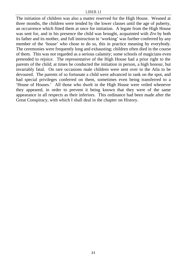The initiation of children was also a matter reserved for the High House. Weaned at three months, the children were tended by the lower classes until the age of puberty, an occurrence which fitted them at once for initiation. A legate from the High House was sent for, and in his presence the child was brought, acquainted with *Zro* by both its father and its mother, and full instruction in 'working' was further conferred by any member of the 'house' who chose to do so, this in practice meaning by everybody. The ceremonies were frequently long and exhausting; children often died in the course of them. This was not regarded as a serious calamity; some schools of magicians even pretended to rejoice. The representative of the High House had a prior right to the parents of the child; at times he conducted the initiation in person, a high honour, but invariably fatal. On rare occasions male children were sent over to the Atla to be devoured. The parents of so fortunate a child were advanced in rank on the spot, and had special privileges conferred on them, sometimes even being transferred to a 'House of Houses.' All those who dwelt in the High House were veiled whenever they appeared, in order to prevent it being known that they were of the same appearance in all respects as their inferiors. This ordinance had been made after the Great Conspiracy, with which I shall deal in the chapter on History.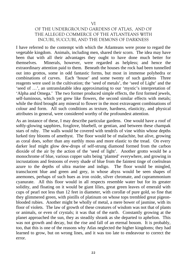# OF THE UNDERGROUND GARDENS OF ATLAS, AND OF THE ALLEGED COMMERCE OF THE ATLANTEANS WITH INCUBI, SUCCUBI, AND THE DEMONS OF DARKNESS

I have referred to the contempt with which the Atlanteans were prone to regard the vegetable kingdom. Animals, including men, shared their scorn. The idea may have been that with all their advantages they ought to have done much better for themselves. Minerals, however, were regarded as helpless; and hence the extraordinary attention paid to them. Beneath the houses the rock had been tunnelled out into grottos, some in odd fantastic forms, but most in immense polyhedra or combinations of curves. Each 'house' and some twenty of such gardens Three reagents were used in the cultivation; the 'seed of metals', the 'seed of Light' and the 'seed of …', an untranslatable idea approximating to our 'mystic's interpretation of 'Alpha and Omega.' The two former produced simple effects, the first formed jewels, self-luminous, which yet grew like flowers, the second similar effects with metals; while the third brought any mineral to flower in the most extravagent combinations of colour and form. All such conditions as texture, hardness, elasticity, and physical attributes in general, were considered worthy of the profoundest attention.

As an instance of these, I may describe particular gardens. One would have a roof of softly-glowing sapphires, foxglove, bluebell, or gentian, and between these champak stars of ruby. The walls would be covered with tendrils of vine within whose depths lurked tiny blooms of amethyst. The floor would be of malachite, but alive, growing as coral does, softer than any earthly moss and more elastic to the tread. On every darker leaf might glow dew-drops of self-strung diamond formed from the carbon dioxide of the air by the action of the 'seed of light'. Another grotto would be a monochrome of blue, various copper salts being 'planted' everywhere, and growing in incrustations and festoons of every shade of blue from the faintest tinge of coelrulean azure to the depths of ultra marine and indigo. The floor would be mingled, transclucent blue and green and grey, in whose abyss would be seen shapes of anemones, perhaps of such hues as iron oxide, silver chromate, and cuprammonium cyanurate. All this floor would in all respects resemble water but for its greater solidity, and floating on it would be giant lilies, great green leaves of emerald with cups of pearl not less than 12 feet in diameter, with corollæ of pure gold, so fine that they glimmered green, with pistills of platinum on whose tops trembled great pigeonblooded rubies. Another might be wholly of metal, a mere bower of jasmine, with its floor of violets. The law of growth of these creatures of wisdom was not that of plants or animals, or even of crystals; it was that of the earth. Constantly growing at the planet approached the sun, they as steadily shrank as she departed to aphelion. This was not growth and decay, but the rise and fall of an eternal bosom. It is probably, too, that this is one of the reasons why Atlas neglected the higher kingdoms; they had learned to grow, but on wrong lines, and it was too late to endeavour to correct the error.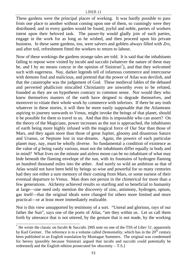These gardens were the principal places of working. It was hardly possible to pass from one place to another without coming upon one of them, so cunningly were they distributed; and in every garden would be found, joyful and noble, parties of workers intent upon their beloved task. The passer-by would gladly join of such parties, engage in the work for as long as he wished, and then proceed upon his private business. In these same gardens, too, were salvers and goblets always filled with *Zro*, and after toil, refreshment fitted the workers to return to labour.

Now of these workings the gardens strange tales are told. It is said that the inhabitants falling to repose were visited by incubi and succubi (whatever the nature of these may be, and I by no means concur in the opinion of Sinistrari\* ), and that they welcomed such with eagerness. Nay, darker legends tell of infamous commerce and intercourse with demons foul and malicious, and pretend that the power of Atlas was devilish, and that the catastrophe was the judgement of God. These medieval fables of the debased and perverted phallicism miscalled Christianity are unworthy even to be refuted, founded as they are on hypotheses contrary to common sense. Nor would they who knew themselves masters of the earth have deigned to degrade themselves, and moreover to vitiate their whole work by commerce with inferiors. If there be any truth whatever in these stories, it will then be more easily supposable that the Atlanteans aspiring to journey sunwards to Venus, might invoke the beings of that planet, should it be possible for them to travel to us. And that this is impossible who can assert? On the theory of the Magicians, power increases as the sun is approached, the inhabitants of earth being more highly infused with the magical force of Our Star than those of Mars, and they again more than those of great Jupiter, gloomy and disastrous Saturn and Uranus, or Neptune lost in star-dreams. Again, the powers of each particular planet may, nay, must be wholly diverse. So fundamental a condition of existence as the value of *g* being vastly various, must not the inhabitants differ equally in body and in mind? What lives on the minute and airless moon can be no inhabitant of what may hide beneath the flaming envelope of the sun, with its fountains of hydrogen flaming an hundred thousand miles into the æther. And surely so wild an ambition as that of Atlas would not have been held by beings so wise and powerful for so many centuries had they not either a sure memory of their coming from Mars, or some earnest of their eventual departure to Venus. Man does not persist in the chimerical for more than a few generations. Alchemy achieved results so startling and so beneficial to humanity at large—one need only mention the discovery of zinc, antimony, hydrogen, opium, gas itself—that the original ideals were changed for others more limited and more practical—or at least more immediately realizable.

Nor is this view unsupported by testimony of a sort. "Unreal and glorious, rays of our father the Sun", says one of the poets of Atlas, "are they within us. Let us call them forth by utterance that is not uttered, by the gesture that is not made, by the working

 $\overline{a}$ 

<sup>\*</sup> He wrote the classic on Incubi & Succubi. [MS note on one of the TSS of *Liber 51*, apparently by Karl Germer. The reference is to a volume called *Demoniality*, which has in the 20<sup>th</sup> century been published in an English translation by Montague Summers. The original was condemned for heresy (possibly because Sinistrari argued that incubi and succubi could potentially be redeemed) and the English edition prosecuted for obscenity – T.S.]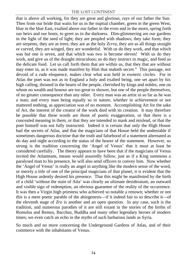that is above all working, for they are great and glorious, rays of our father the Sun. Then from our bride that waits for us in the nuptial chamber, green in the green West, blue in the blue East, exalted above our father in the even and in the morn, spring forth our heirs and our hosts, to greet us in the darkness. Dim-glimmering are our gardens in the light of the seed of light; they are peopled with shadows; they take form; they are serpents, they are as trees, they are as the holy *Zcrra*, they are as all things straight or curved, they are winged, they are wonderful. With us do they work, and that which was but one is seven, and that which was two is become eleven! With us do they work, and give us of the draught miraculous; us do they instruct in magic, and feed us the delicate food. Let us call forth them that are within us, that they that are without may enter in, as it was made manifest by Him that maketh secret." This passage, not devoid of a rude eloquence, makes clear what was held in exoteric circles. For in Atlas the poet was not as in England a holy and exalted being, one set apart by his high calling, throned in the hearts of the people, cherished by kings and nobles, one on whom no wealth and honour are too great to shower, but one of the people themselves, of no greater consequence than any other. Every man was an artist in so far as he was a man; and every man being equally so in nature, whether in achievement or not mattered nothing, as appreciation was of no moment. Accomplishing Art for the sake of Art, the interest of the creator of the work died with its creation. It may therefore be possible that these words are those of poetic exaggeration, or that there is a concealed meaning in them, or that they are intended to mask and mislead, or that the poet himself was not fully instructed. Indeed it is certain that only the High House had the secrets of Atlas, and that the magicians of that House held the undeniable if sometimes dangerous doctrine that the truth and falsehood of a statement alternated as do day and night according to the status of the hearer of the statement. However, so strong is the tradition concerning the 'Angel of Venus' that it must at least be considered carefully. The theory appears to have been that if the magicians of Venus invited the Atlanteans, means would assuredly follow, just as if a King summons a paralysed man to his presence, he will also send officers to convey him. Now whether the 'Angel of Venus' is really an angel in anything like the modern sense of the word, or merely a title of one of the principal magicians of that planet, it is evident that the High House ardently desired his presence. That this might be manifested by the birth of a child 'without the stain of Atla' was clearly an ultimate desideratum, an outward and visible sign of redemption, an obvious guarantee of the reality of the occurrence. It was then a Virgin high priestess who achieved so notable a renown; whether or not this is a mere poetic parable of the abiogenesis—if it indeed fair to so describe it—of the eleventh stage of *Zro* is another and an open question. In any case, such is the tradition, and numerous parodies of it are still extant in the stories of the births of Romulus and Remus, Bacchus, Buddha and many other legendary heroes of modern times; we even catch an echo in the myths of such barbarous lands as Syria.

So much and no more concerning the Underground Gardens of Atlas, and of their commerce with the inhabitants of Venus.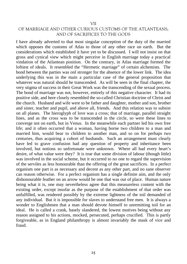#### OF MARRIAGE AND OTHER CURIOUS CUSTOMS OF THE ATLANTEANS; AND OF SACRIFICES TO THE GODS

I have already adverted to that most singular conception of the duty of the married which opposes the customs of Atlas to those of any other race on earth. But the considerations which established it have yet to be discussed. I will not insist on that gross and cynical view which might perceive in English marriage today a practical vindation of the Atlantean position. On the contrary, in Atlas marriage formed the loftiest of ideals. It resembled the "Hermetic marriage" of certain alchemists. The bond between the parties was onl stronger for the absence of the lower link. The idea underlying this was in the main a particular case of the general proposition that whatever was natural should be transcended. As will be seen in the final chapter, the very stigma of success in their Great Work was the transcending of the sexual process. The bond of marriage was not, however, entirely of this negative character. It had its positive side, and here closely resembled the so-called Christian doctrine of Christ and the church. Husband and wife were to be father and daughter, mother and son, brother and sister, teacher and pupil, and above all, friends. And this relation was to subsist on all planes. The hieroglyph of love was a cross; that of marriage, parallel straight lines, and as the cross was to be transcended in the circle, so were these lines to converge not on earth, but in Venus. In the meanwhile each partner led his own free life; and it often occurred that a woman, having borne two children to a man and married him, would bear to children to another man, and so on for perhaps two centuries, thus acquiring a cohort of husbands. Such an arrangement must clearly have led to grave confusion had any question of property and inheritance been involved, but notions so unfortunate were unknown. Where all had every heart's desire, of what value were they? It is true that some division of labour (though little) was involved in the social scheme, but it occurred to no one to regard the supervision of the serviles as less honourable than the offering of the great sacrifices. In a perfect organism one part is as necessary and decent as any other part, and no sane observer can reason otherwise. For a perfect organism has a single definite aim, and the only dishonourable feather on an arrow would be one that was out of place. Human nature being what it is, one may nevertheless agree that this measureless content with the existing order, except insofar as the purpose of the establishment of that order was unfulfilled, was rendered possibly by the extreme lightness of the toil demanded of any individual. But it is impossible for slaves to understand free men. It is always a wonder to Englishmen that a man should devote himself to unremitting toil for an ideal. He is called a crank, basely slandered, the lowest motives being without any reason assigned to his actions, mocked, persecuted, perhaps crucified. This is partly forgiveable, as in England philanthropy is almost invariably the mask of vice and fraud.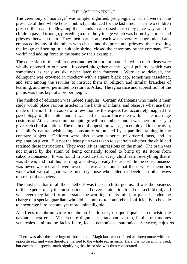The ceremony of marriage<sup>\*</sup> was simple, dignified, yet poignant. The lovers in the presence of their whole house, publicly embraced for the last time. Their two children pressed them apart. Elevating their hands in a crossed clasp they gave way, and the children passed trhough, preceding a most holy image which was borne by a priest and priestess between them. They then parted, and each was severally congratulated and embraced by any of the others who chose, and the priest and priestess then, exalting the image and setting in a suitable shrine, closed the ceremony by the command "To work" and adding force to the same by their example.

The education of the children was another important matter in which their ideas were wholly opposed to our own. It ceased altogether at the age of puberty, which was sometimes as early as six, never later than fourteen. Were it so delayed, the delinquent was crowned in mockery with a square black cap, sometimes tasselated, and sent among the serviles to instruct them in religion and similar branches of learning, and never permitted to return to Atlas. The ignorance and superstition of the plains was thus kept at a proper height.

The method of education was indeed singular. Certain Atlanteans who made it their study would place various articles in the hands of infants, and observe what use they made of them. In the course of a few months the experts had accurately mapped the psychology of the child, and it was led in accordance therewith. The marriage customs of Atlas allowed no too rapid growth in numbers, and it was therefore easy to give each child attention. The method of opposition was again employed in education, the child's natural wish being constantly stimulated by a parallel training in the contrary subject. Children were also shown a series of ordered facts, and an explanation given. But not the least pain was taken to ascertain whether the child had retained those instructions. They were left as impressions on the mind. The brain was not injured by the strain of being constantly forced to bring up its stores from subconsciousness. It was found in practice that every child learnt everything that it was shown, and that this learning was always ready for use, while the consciousness was never wearied and overcrowed. It was also found that those whose memories were what we call good were precisely those who failed to develop in other ways more useful to society.

The most peculiar of all their methods was the search for genius. It was the business of the experts to pay the most serious and reverent attention to all that a child did, and whenever they failed to understand the workings of its mind, to place it under the charge of a special guardian, who did his utmost to comprehend sufficiently to be able to encourage it to become yet more unintelligible.

Apud eos membrum virile membrano lucido erat; ob quod qualis circumcisio die navitatis facta erat. Vix credere dignum est, tanquam verum, feminarum montes venereales similitudine facies fuere, facies demoniacæ, sardonicæ, Satyricæ, cujus os

<sup>\*</sup> There was also the marriage of those of the Magicians who refused all intercourse with the opposite sex, and were therefore married to the whole sex as such. Here was no ceremony used; but each had a special mark signifying that he or she was thus consecrated.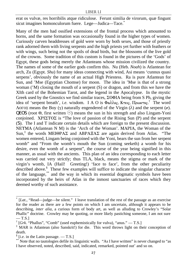erat os vulvæ, res horribilis atque ridiculose. Ferunt similia de virorum, quæ fingunt sicut imagines homonculorum fuere. Lege—Judica—Tace.<sup>\*</sup>

Many of the men had ossified extensions of the frontal process which amounted to horns, and the same formation was occasionally found in the higher types of women. Curiously carven headdresses of gold were worn by both sexes, and those of priestly rank adorned them with living serpents and the high priests yet further with feathers or with wings, such being not the spoils of dead birds, but the blossoms of the live gold of the crowns. Some tradition of this custom is found in the pictures of the 'Gods' of Egypt, these gods being merely the Atlanteans whose mission civilized the country. The names of some of the earlier gods confirm this. Nu (Heb. *Noah*) is Atlantean for arch, Zu (Egypt. *Shu*) for many ideas connecting with wind, Asi means 'cunnus quasi serpens', obviously the name of an actual High Priestess. Ra is pure Atlantean for Sun, and 'Mse (Egyptian Chomse) for moon. The idea in 'Mse is that of a strong woman ('M) closing the mouth of a serpent (S) or dragon, and from this we have the XIth card of the Bohemian Tarot, and the legend in the Apocalypse. In the mystic Greek used by the Gnostics we find similar traces,  $\Sigma O \Phi I A$  being from S Ph, giving the idea of 'serpent breath', *i.e.* wisdom. I A O is Φαλλος, Κτεις, Πρωκτος.<sup>†</sup> The word  $\Lambda$ OCOS means the Boy  $(\gamma)$  naturally engendered of the Virgin  $(\lambda)$  and the serpent  $(\sigma)$ . QEOS (root  $\Theta$ , first written  $\odot$ ) means the sun in his strength and also Lingam-Yoni conjoined. XPI $\Sigma TO\Sigma$  is "The love of passion of the Rising Sun (P) and the serpent (S). The I and T indicate certain details which are foreign to the present discussion.  $NETMA$  (Atlantean N M) is the 'Arch of the Woman'. MAPIA, the Woman of the Sun,<sup>‡</sup> the words MEIOPA $\Sigma$  and ABPAEA $\Sigma$  are again derived from Atlas. "The women entered, Lingam being conjoined with the Yoni, bears the sun from her serpent womb" and "From the womb's mouth the Sun (coming seeketh) a womb for his desire, even the womb of a serpent", the course of the year being signified in this manner, as usual with the ancients. This plan of an idea corresponding to each letter was carried out very strictly; thus TLA, black, means the stigma or mark of the virgin's womb, IA (Hail! Greeting!) 'face to face', from the other peculiarity described above.<sup>§</sup> These few examples will suffice to indicate the singular character of the language,\*\* and the way in which its essential dogmatic symbols have been incorporated by the heirs of Atlas in the inmost sanctuaries of races which they deemed worthy of such assistance.

<sup>\*</sup> [*Lat.*, "Read—judge—be silent." I leave translation of the rest of the passage as an exercise for the reader as there are a few points on which I am uncertain, although it appears to be describing, *inter alia*, a curious form of body art, as well as alluding to Crowley's "Solar Phallic" doctrine. Crowley may be quoting, or more likely pastiching someone, I am not sure  $-$  T.S.

<sup>†</sup> [*Grk*. "Phallus", "Comb" (used euphemistically for vulva), "anus." — T.S.]

<sup>‡</sup> MAR is Atlantean (also Sanskrit!) for die. This word throws light on their conception of death.

 $\frac{1}{2}$  [*i.e.* in the Latin passage. — T.S.]

Note that no tautologies defile its linguistic walls. "As I have written" is never changed to "as I have observed, noted, described, said, indicated, remarked, pointed out' and so on.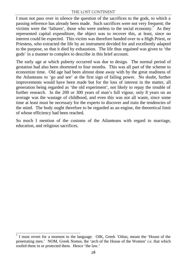I must not pass over in silence the question of the sacrifices to the gods, to which a passing reference has already been made. Such sacrifices were not very frequent; the victims were the 'failures', those who were useless to the social economy.\* As they represented capital expenditure, the object was to recover this, at least, since no interest could be expected. This victim was therefore handed over to a High Priest, or Priestess, who extracted the life by an instrument devided for and excellently adapted to the purpose, so that it died by exhaustion. The life thus regained was given to 'the gods' in a manner to complex to describe in this brief account.

The early age at which puberty occurred was due to design. The normal period of gestation had also been shortened to four months. This was all part of the scheme to economize time. Old age had been almost done away with by the great readiness of the Atlanteans to 'go and see' at the first sign of failing power. No doubt, further improvements would have been made but for the loss of interest in the matter, all generation being regarded as 'the old experiment', not likely to repay the trouble of further research. In the 200 or 300 years of man's full vigour, only 8 years on an average was the wastage of childhood, and even this was not all waste, since some time at least must be necessary for the experts to discover and train the tendencies of the mind. The body ought therefore to be regarded as an engine, the theoretical limit of whose efficiency had been reached.

So much I mention of the customs of the Atlanteans with regard to marriage, education, and religious sacrifices.

<sup>\*</sup> I must revert for a moment to the language. OIK, Greek *'Oikas*, meant the 'House of the penetrating men.' NOM, Greek *Nomos*, the 'arch of the House of the Women' *i.e.* that which roofed them in or protected them. Hence 'the law.'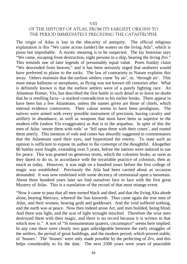# OF THE HISTORY OF ATLAS, FROM ITS EARLIEST ORIGINS TO THE PERIOD IMMEDIATELY PRECEDING THE CATASTROPHE

The origin of Atlas is lost in the obscurity of antiquity. The official religious explanation is this "We came across (under) the waters on the living Atla", which is pious but improbable. A mystic meaning is to be suspected. The lay historian says "We came, escaping from destruction, eight persons in a ship, bearing the living *Zro*." This reminds one of later legends of presumably equal value. Poets frankly claim "We descended from heaven," and it has been seriously urged that seafarers would have preferred to plains to the rocks. The law of contrariety to Nature explains this away. Others maintain that the earliest settlers came 'by air', or, 'through air'. This must mean balloons or aeroplanes, as flying was not known till centuries after. What is definitely known is that the earliest settlers were of a purely fighting race. An Atlantean Homer, Ylo, has described the first battle in such detail as to leave no doubt that he is retelling facts—a marked contradiction to his earlier books. There appear to have been but a few Atlanteans, unless the names given are those of chiefs, which internal evidence controverts. Their valour seems to have been prodigious. The natives were armed with every possible instrument of precision, having cavalry and artillery in abundance, as well as weapons that must have been as superior to the modern rifle (unless Ylo exaggerates) as that is to the arquebus. In spite of this the men of Atlas 'smote them with rods' or 'fell upon them with their cones', and routed them utterly. This mention of rods and cones has absurdly suggested to commentators that the Atlanteans used their eyes, and hypnotized the enemy. To state such an opinion is sufficient to expose its author to the contempt of the thoughtful. Altogether 86 battles were fought, extending over 5 years, before the natives were induced to sue for peace. This was granted on generous terms, which the colonists broke, as soon as they dared to do so, in accordance with the invariable practice of colonists, then as much as today. However, it was nigh on a hundred years before the first college of magic was established. Previously the Atla had been carried about as occasion demanded. It was now enshrined with some decency of ceremonial upon a mountain. About three hundred years later we find ourselves face to face with the first great Mystery of Atlas. This is a translation of the record of that most strange event.

"Now it came to pass that all men turned black and died, and that the living Alta abode alone, bearing Mercury, whereof the Sun knoweth. Thus came again the true men of Atlas, and their women, bearing gods and goddesses. And the void suffered nothing, and the earth was at peace. Now then indeed arose Art, and men builded, being blind. And there was light, and the scar of light wrought mischief. Therefore the wise men destroyed them with their magic, and there is no record because it is written in that which now is." A sort of "Si monumentum quaeris, circumspice" seems here implied. In any case there were clearly two gaps unbridgeable between the early struggles of the settlers, the period of great buildings, and the modern period, which proved stable, of 'houses.' The 'houses' were only made possible by the perfecting of *Zro*, and this helps considerably to fix the date. The next 2500 years were years of peaceable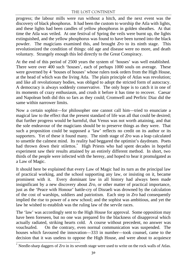progress; the labour mills were run without a hitch, and the next event was the discovery of black phosphorus. It had been the custom to worship the Atla with lights, and these lights had been candles of yellow phosphorus in golden sheathes. At that time the Atla was veiled. At one festival of Spring the veils were burnt up, the lights extinguished, and the yellow phosphorus was found to have been turned into the black powder. The magicians examined this, and brought *Zro* to its ninth stage. This revolutionized the condition of things: old age and disease were no more, and death voluntary. Strangely enough this led directly to the Great Conspiracy.

At the end of this period of 2500 years the system of 'houses' was well established. There were over 400 such 'houses', each of perhaps 1000 souls on average. These were governed by 4 'houses of houses' whose rulers took orders from the High House, at the head of which was the living Atla. The plain principle of Atlas was revolution; and like all revolutionary bodies, was obliged to adopt the stricted form of autocracy. A democracy is always soddenly conservative. The only hope is to catch it in one of its moments of crazy enthusiasm, and crush it before it has time to recover. Caesar and Napolean both did this so fars as they could; Cromwell and Perfiric Diaz did the same within narrower limits.

Now a certain sophist—for philosopher one cannot call him—tried to enunciate a magical law to the effect that the present standard of life was all that could be desired; that further progress would be harmful, that Venus was not worth attaining, and that the sole endeavour of the magicians should be to preserve things as they were. That such a proposition could be supposed a 'law' reflects no credit on its author or its supporters. Yet of these it found many. The ninth stage of *Zro* was a leap calculated to unsettle the calmest mind. Its reality had beggared the optimist's daydream. Poets had thrown down their stilettos.<sup>\*</sup> High Priests who had spent decades in hopeful experiment saw their results attained by an entirely different method. In short, two thirds of the people were infected with the heresy, and hoped to hear it promulgated as a Law of Magic.

It should here be explained that every Law of Magic had its turn as the principal law of practical working, and the school supporting any law, or insisting on it, became prominent with it. Every dominant law in all history had always been made insignificant by a new discovery about *Zro*, or other matter of practical importance, just as the 'Peace with Honour' battle-cry of Disraeli was drowned by the calculation of the cost of warships, soldiers and patriotism. Each step in *Zro* had consequently implied the rise to power of a new school; and the sophist was ambitious, and yet the law he wished to establish was the ruling law of the servile races.

The 'law' was accordingly sent to the High House for approval. Some opposition may have been foreseen, but no one was prepared fro the blackness of disapproval which actually radiated, striking hearts cold. A course without precedent, no answer was vouchsafed. On the contrary, even normal communication was suspended. The houses which favoured the innovation—333 in number—took counsel, came to the decision that it was useless to oppose the High House, and were about to acquiesce

<sup>.</sup> \* Needle-sharp daggers of *Zro* in its seventh stage were used to write on the rock walls of Atlas.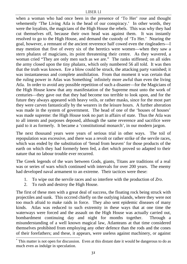when a woman who had once been in the presence of 'To Her' rose and thought vehemently 'The Living Atla is the head of our conspiracy.' In other words, they were the loyalists, the magicians of the High House the rebels. This was why they had cut themselves off, because their own head was against them. It was instantly resolved to go to the High House, and demand the custody of 'To Her.' Nearing the goal, however, a remnant of the ancient reverence half cowed even the ringleaders—I may mention that five of every six of the heretics were women—when they saw a stern phalanx of magicians, its point threatening their centre. As they wavered, a woman cried "They are only men such as we are." The ranks stiffened; on all sides the army closed upon the tiny phalanx, which only numbered 56 all told. It was then that the truth was known. Ere a blow could be struck, the attacking party vanished; it was instantaneous and complete annihilation. From that moment it was certain that the ruling power in Atlas was Something<sup>\*</sup> infinitely more awful than even the living Atla. In order to avoid any possible repetition of such a disaster—for the Magicians of the High House knew that any manifestation of the Supreme must unto the work of centuries—they gave out that they had become too terrible to look upon, and for the future they always appeared with heavy veils, or rather masks, since for the most part they were carven fantastically by the wearers in the leisure hours. A further alteration was made in the system of government. The head of one of the 'houses of houses' was made supreme: the High House took no part in affairs of state. Thus the Atla was to all intents and purposes deposed, although the same reverence and sacrifice were paid to it as formerly. It became a 'constitutional monarch', in our modern jargon.

The next thousand years were years of serious trial in other ways. The toil of repopulation was excessive, and there was a revolt or rather strike of the servile races, which was ended by the substitution of 'bread from heaven' for those products of the earth on which they had formerly been fed, a diet which proved so adapted to their nature that no labour trouble ever recurred.

The Greek legends of the wars between Gods, giants, Titans are traditions of a real was or series of wars which continued with intervals for over 200 years. The enemy had developed naval armament to an extreme. Their tactices were these:

- 1. To wipe out the servile races and so interfere with the production of *Zro*.
- 2. To rush and destroy the High House.

.

The first of these men with a great deal of success, the floating rock being struck with projectiles and sunk. This occrred chiefly on the outlying islands, where they were not too much afraid to make raids in force. They also sent epidemic diseases of many kinds. Atlas was reduced to such extremity in these ways that at one time the waterways were forced and the assault on the High House was actually carried out, bombardment continuing day and night for months together. Through a misunderstanding of a well known magical law, Atlanteans at that time considered themselves prohibited from employing any other defence than the rods and the cones of their forefathers; and these, it appears, were useless against machinery, or against

<sup>\*</sup> This matter is not open for discussion. Even at this distant date it would be dangerous to do as much even as indulge in speculation.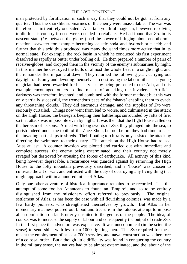men protected by fortification in such a way that they could not be got at from any quarter. Thus the sharklike submarines of the enemy were unassailable. The war was therefore at first entirely one-sided. A certain youthful magician, however, resolving to die for his country if need were, decided to retaliate. He had found that *Zro* in its nascent state (*i.e.* between the globes) had the power of bringing about endothermic reaction, seawater for example becoming caustic soda and hydrochloric acid; and further that this acid thus produced was many thousand times more active that in its normal state. For example, the rock basin in which he conducted his first experiment dissolved as rapidly as butter under boiling oil. He then prepared a number of pairs of receiver-globes, and dropped them in the vicinity of the enemy's submarines by night. In this manner he destroyed the hulls of almost the whole fleet in a single night; and the remainder fled in panic at dawn. They returned the following year, carrying out daylight raids only and devoting themselves to destroying the labourmills. The young magician had been rewarded for his services by being presented to the Atla, and this example encouraged others to find means of attacking the invaders. Artificial darkness was therefore invented, and combined with the former method; but this was only partially successful, the tremendous pace of the 'sharks' enabling them to evade any threatening clouds. They did enormous damage, and the supplies of *Zro* were seriously curtailed. Things now went from bad to worse, and culminated in the attack on the High House, the besiegers keeping their battleships surrounded by rafts of fire, so that attack was impossible even by night. It was then that the High House called on the heroism of its sons. Armed with long swords of *Zro*, they plunged into the sea, to perish indeed under the tooth of the Zhee-Zhou, but not before they had time to hack the invading battleships to shreds. Their floating torch-rafts only assisted the attack by directing the swimmers to their quarry. The attack on the High House had roused Atlas at last. A counter invasion was plotted and carried out with immediate and complete success, the enemy being exterminated, and their country not merely ravaged but destroyed by arousing the forces of earthquake. All activity of this kind being however deprecable, a recurrence was guarded against by removing the High House to the lofty mountain previously described, and a 'house' was chosen to cultivate the art of war, and entrusted with the duty of destroying any living thing that might approach within a hundred miles of Atlas.

Only one other adventure of historical importance remains to be recorded. It is the attempt of some foolish Atlanteans to found an 'Empire', and so to be entirely distinguished from the missionary effort referred to previously. The original settlement of Atlas, as has been the case with all flourishing colonies, was made by a few hardy pioneers, who strengthened themselves by growth. But Atlas in her momentary madness poured out blood and treasure in the fatuous attempt to impose alien domination on lands utterly unsuited to the genius of the people. The idea, of course, was to increase the supply of labour and consequently the output of crude *Zro*. In the first place the adventure was expensive. It was uneconomical (in the scientific sense) to send ships with less than 1000 fighting men. The *Zro* required for these meant the employment of at least 7000 serviles, and naval construction was therefore of a colossal order. But although little difficulty was found in conquering the country in the military sense, the natives had to be almost exterminated, and the labour of the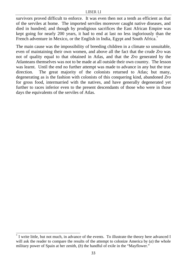survivors proved difficult to enforce. It was even then not a tenth as efficient as that of the serviles at home. The imported serviles moreover caught native diseases, and died in hundred; and though by prodigious sacrifices the East African Empire was kept going for nearly 200 years, it had to end at last no less ingloriously than the French adventure in Mexico, or the English in India, Egypt and South Africa.<sup>\*</sup>

The main cause was the impossibility of breeding children in a climate so unsuitable, even of maintaining their own women, and above all the fact that the crude *Zro* was not of quality equal to that obtained in Atlas, and that the *Zro* generated by the Atlanteans themselves was not to be made at all outside their own country. The lesson was learnt. Until the end no further attempt was made to advance in any but the true direction. The great majority of the colonists returned to Atlas; but many, degenerating as is the fashion with colonists of this conquering kind, abandoned *Zro* for gross food, intermarried with the natives, and have generally degenerated yet further to races inferior even to the present descendants of those who were in those days the equivalents of the serviles of Atlas.

<sup>\*</sup> I write little, but not much, in advance of the events. To illustrate the theory here advanced I will ask the reader to compare the results of the attempt to colonize America by (*a*) the whole military power of Spain at her zenith, (*b*) the handful of exile in the "Mayflower."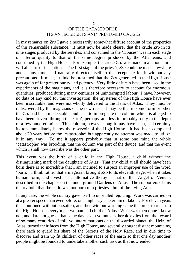# IX OF THE CATASTROPHE; ITS ANTECEDENTS AND PRESUMED CAUSES

In my remarks on *Zro* I gave a necessarily somewhat diffuse account of the properties of this remarkable substance. It must now be made clearer that the crude *Zro* in its nine stages produced by the serviles, and consumed in the 'Houses' was in each stage of inferior quality to that of the same degree produced by the Atlanteans, and consumed by the High House. For example, the crude *Zro* was made in a labour-mill will all sorts of insulations. The first stage of the priest's *Zro* could be made anywhere and at any time, and naturally directed itself to the receptacle for it without any precautions. It must, I think, be presumed that the *Zro* generated in the High House was again of far greater purity and potency. Very little of it can have been used in the experiments of the magicians, and it is therefore necessary to account for enormous quantities, produced during many centuries of uninterrupted labour. I have, however, no data of any kind for this investigation; the mysteries of the High House have ever been inscrutable, and were not wholly delivered to the Heirs of Atlas. They must be rediscovered by the magicians of the new race. It may be that in some form or other the *Zro* had been made stable, and used to impregnate the column which is alleged to have been driven 'through the earth'; perhaps, and less improbably, only to the depth of a few hundred miles. This column, however long it may have been, had certainly its top immediately below the reservoir of the High House. It had been completed about 70 years before the 'catastrophe' but apparently no attempt was made to utilize it in any way. To me it appears probably that in some one mind the whole 'catastrophe' was brooding, that the column was part of the device, and that the event which I shall now describe was the other part.

This event was the birth of a child in the High House, a child without the distinguishing mark of the daughters of Atlas. That any child at all should have been born there is so incredible that I am inclined to suspect an improper use of the word 'born.' I think rather that a magician brought *Zro* to its eleventh stage, when it takes human form, and lives! The alternative theroy is that of the 'Angel of Venus', described in the chapter on the underground Gardens of Atlas. The supporters of this theory hold that the child was not born of a priestess, but of the living Atla.

In any case, the whole country gave itself to unbridled rejoicing. Work was carried on at a greater speed than ever before: one might say a delerium of labour. For eleven years this continued without cessation, and then without warning came the order to repair to the High House—every man, woman and child of Atlas. What was then done I know not, and dare not guess; that same day seven volunteers, heroic exiles from the reward of so many centuries of toil, voluntary maroons on the discarded planet, the Heirs of Atlas, turned their faces from the High House, and severally sought distant mountains, there each to guard his share of the Secrets of the Holy Race, and in due time to discover and train up fit children of other races of the earth so that one day another people might be founded to undertake another such task as that now ended.